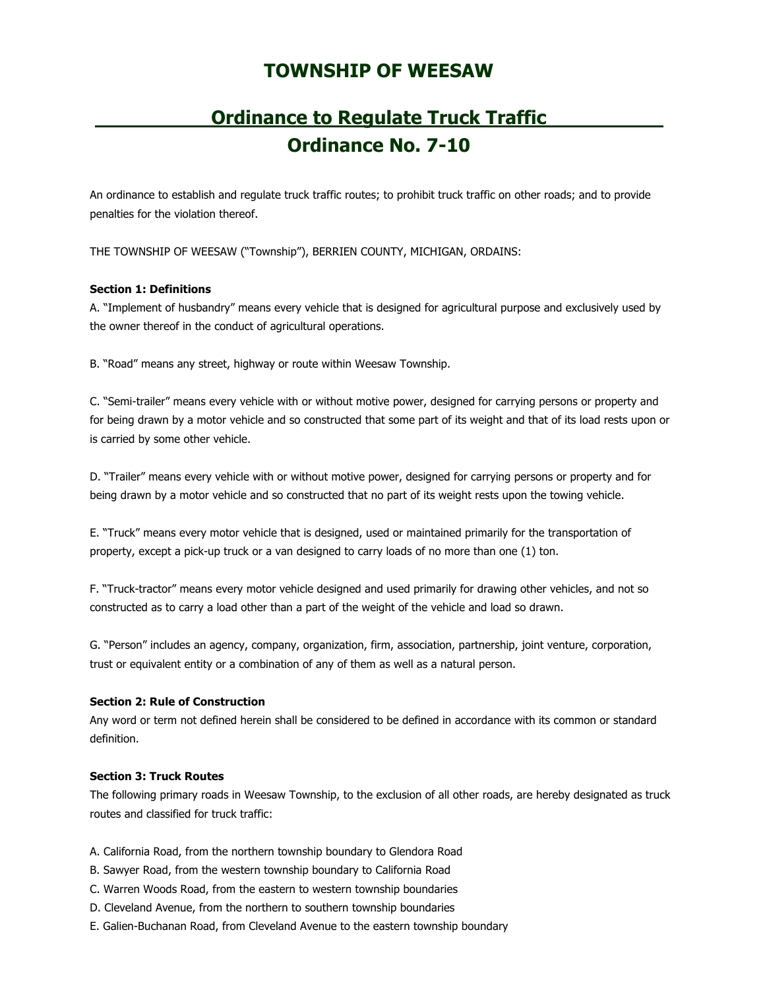## **TOWNSHIP OF WEESAW**

# **Ordinance to Regulate Truck Traffic Ordinance No. 7-10**

An ordinance to establish and regulate truck traffic routes; to prohibit truck traffic on other roads; and to provide penalties for the violation thereof.

THE TOWNSHIP OF WEESAW ("Township"), BERRIEN COUNTY, MICHIGAN, ORDAINS:

## **Section 1: Definitions**

A. "Implement of husbandry" means every vehicle that is designed for agricultural purpose and exclusively used by the owner thereof in the conduct of agricultural operations.

B. "Road" means any street, highway or route within Weesaw Township.

C. "Semi-trailer" means every vehicle with or without motive power, designed for carrying persons or property and for being drawn by a motor vehicle and so constructed that some part of its weight and that of its load rests upon or is carried by some other vehicle.

D. "Trailer" means every vehicle with or without motive power, designed for carrying persons or property and for being drawn by a motor vehicle and so constructed that no part of its weight rests upon the towing vehicle.

E. "Truck" means every motor vehicle that is designed, used or maintained primarily for the transportation of property, except a pick-up truck or a van designed to carry loads of no more than one (1) ton.

F. "Truck-tractor" means every motor vehicle designed and used primarily for drawing other vehicles, and not so constructed as to carry a load other than a part of the weight of the vehicle and load so drawn.

G. "Person" includes an agency, company, organization, firm, association, partnership, joint venture, corporation, trust or equivalent entity or a combination of any of them as well as a natural person.

## **Section 2: Rule of Construction**

Any word or term not defined herein shall be considered to be defined in accordance with its common or standard definition.

## **Section 3: Truck Routes**

The following primary roads in Weesaw Township, to the exclusion of all other roads, are hereby designated as truck routes and classified for truck traffic:

- A. California Road, from the northern township boundary to Glendora Road
- B. Sawyer Road, from the western township boundary to California Road
- C. Warren Woods Road, from the eastern to western township boundaries
- D. Cleveland Avenue, from the northern to southern township boundaries
- E. Galien-Buchanan Road, from Cleveland Avenue to the eastern township boundary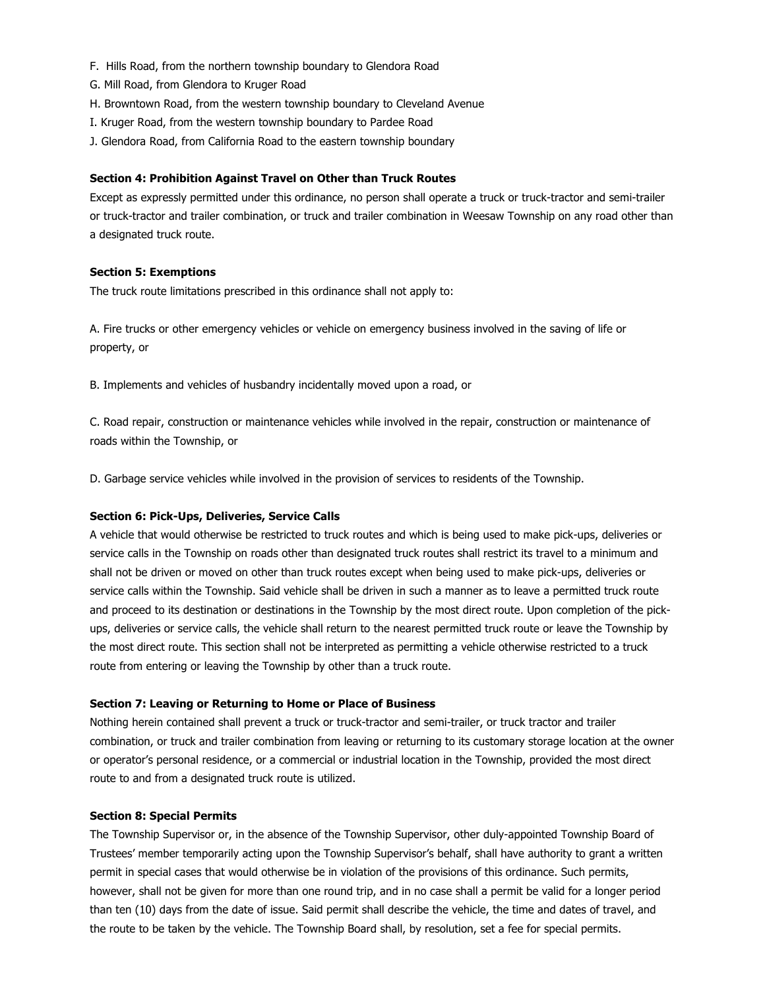- F. Hills Road, from the northern township boundary to Glendora Road
- G. Mill Road, from Glendora to Kruger Road
- H. Browntown Road, from the western township boundary to Cleveland Avenue
- I. Kruger Road, from the western township boundary to Pardee Road
- J. Glendora Road, from California Road to the eastern township boundary

#### **Section 4: Prohibition Against Travel on Other than Truck Routes**

Except as expressly permitted under this ordinance, no person shall operate a truck or truck-tractor and semi-trailer or truck-tractor and trailer combination, or truck and trailer combination in Weesaw Township on any road other than a designated truck route.

#### **Section 5: Exemptions**

The truck route limitations prescribed in this ordinance shall not apply to:

A. Fire trucks or other emergency vehicles or vehicle on emergency business involved in the saving of life or property, or

B. Implements and vehicles of husbandry incidentally moved upon a road, or

C. Road repair, construction or maintenance vehicles while involved in the repair, construction or maintenance of roads within the Township, or

D. Garbage service vehicles while involved in the provision of services to residents of the Township.

## **Section 6: Pick-Ups, Deliveries, Service Calls**

A vehicle that would otherwise be restricted to truck routes and which is being used to make pick-ups, deliveries or service calls in the Township on roads other than designated truck routes shall restrict its travel to a minimum and shall not be driven or moved on other than truck routes except when being used to make pick-ups, deliveries or service calls within the Township. Said vehicle shall be driven in such a manner as to leave a permitted truck route and proceed to its destination or destinations in the Township by the most direct route. Upon completion of the pickups, deliveries or service calls, the vehicle shall return to the nearest permitted truck route or leave the Township by the most direct route. This section shall not be interpreted as permitting a vehicle otherwise restricted to a truck route from entering or leaving the Township by other than a truck route.

#### **Section 7: Leaving or Returning to Home or Place of Business**

Nothing herein contained shall prevent a truck or truck-tractor and semi-trailer, or truck tractor and trailer combination, or truck and trailer combination from leaving or returning to its customary storage location at the owner or operator's personal residence, or a commercial or industrial location in the Township, provided the most direct route to and from a designated truck route is utilized.

#### **Section 8: Special Permits**

The Township Supervisor or, in the absence of the Township Supervisor, other duly-appointed Township Board of Trustees' member temporarily acting upon the Township Supervisor's behalf, shall have authority to grant a written permit in special cases that would otherwise be in violation of the provisions of this ordinance. Such permits, however, shall not be given for more than one round trip, and in no case shall a permit be valid for a longer period than ten (10) days from the date of issue. Said permit shall describe the vehicle, the time and dates of travel, and the route to be taken by the vehicle. The Township Board shall, by resolution, set a fee for special permits.